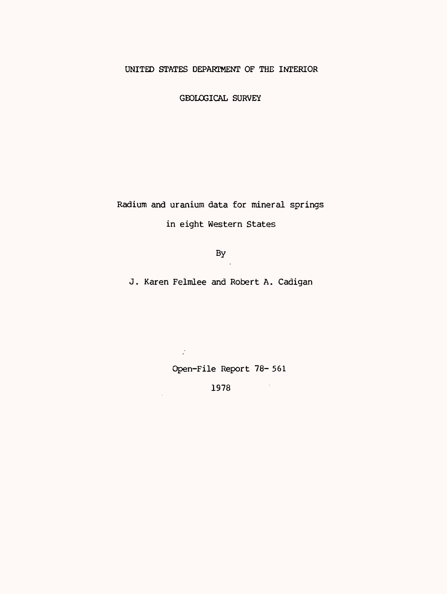## UNITED STATES DEPARTMENT OF THE INTERIOR

GEOLOGICAL SURVEY

Radium and uranium data for mineral springs in eight Western States

By

J. Karen Felmlee and Robert A. Cadigan

Open-File Report 78- 561

1978

 $\mathcal{L}^{\mathcal{L}}$ 

 $\mathcal{A}$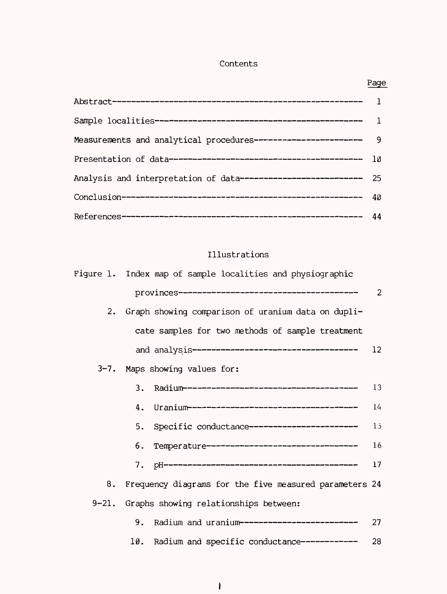## Contents

|                                                                  | $\mathbf{1}$ |
|------------------------------------------------------------------|--------------|
|                                                                  |              |
| Measurements and analytical procedures------------------------   | -9           |
|                                                                  | - 10         |
| Analysis and interpretation of data-------------------------- 25 |              |
|                                                                  | - 40         |
|                                                                  |              |

### Illustrations

References 44

|    | Figure 1. Index map of sample localities and physiographic |    |
|----|------------------------------------------------------------|----|
|    |                                                            | 2  |
| 2. | Graph showing comparison of uranium data on dupli-         |    |
|    | cate samples for two methods of sample treatment           |    |
|    |                                                            | 12 |
|    | 3-7. Maps showing values for:                              |    |
|    | 3.                                                         | 13 |
|    | 4.                                                         | 14 |
|    | Specific conductance-----------------------<br>5.          | 15 |
|    | Temperature--------------------------------<br>6.          | 16 |
|    | 7.                                                         | 17 |
| 8. | Frequency diagrams for the five measured parameters 24     |    |
|    | 9-21. Graphs showing relationships between:                |    |
|    | Radium and uranium-------------------------<br>9.          | 27 |
|    | Radium and specific conductance ------------<br>10.        | 28 |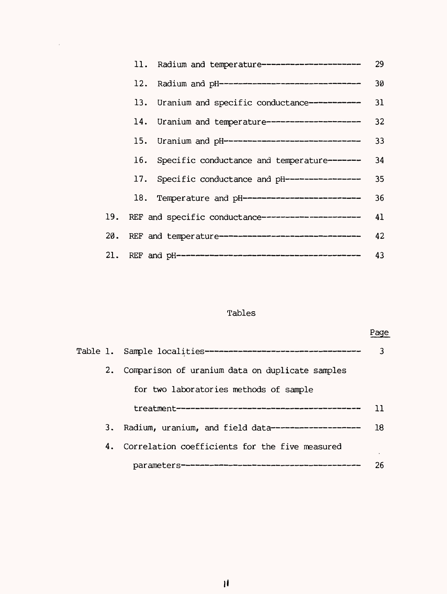|  | 11. Radium and temperature---------------------        | 29 |
|--|--------------------------------------------------------|----|
|  | 12. Radium and pH-------------------------------       | 30 |
|  | 13. Uranium and specific conductance-----------        | 31 |
|  | 14. Uranium and temperature--------------------        | 32 |
|  | 15. Uranium and pH------------------------------       | 33 |
|  | 16. Specific conductance and temperature-------        | 34 |
|  | 17. Specific conductance and pH-----------------       | 35 |
|  | 18. Temperature and pH--------------------------       | 36 |
|  | 19. REF and specific conductance---------------------  | 41 |
|  | 20. REF and temperature------------------------------- | 42 |
|  |                                                        | 43 |

 $\sim 10^6$ 

# Tables

|    | Table 1. Sample localities--------------------------------- | 3   |
|----|-------------------------------------------------------------|-----|
| 2. | Comparison of uranium data on duplicate samples             |     |
|    | for two laboratories methods of sample                      |     |
|    |                                                             | ו ו |
| 3. | Radium, uranium, and field data-------------------          | 18  |
| 4. | Correlation coefficients for the five measured              |     |
|    |                                                             | 26  |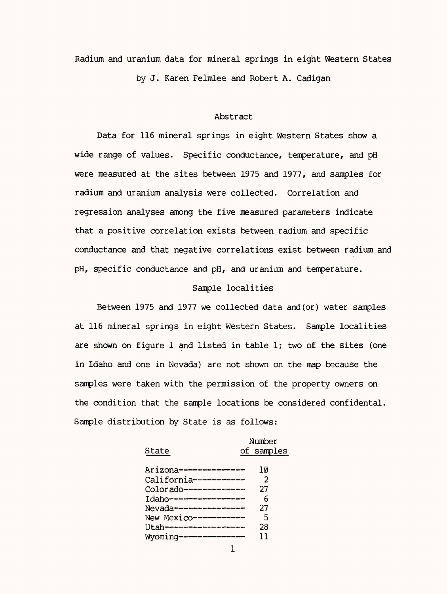Radium and uranium data for mineral springs in eight Western States by J. Karen Felmlee and Robert A. Cadigan

### Abstract

Data for 116 mineral springs in eight Western States show a wide range of values. Specific conductance, temperature, and pH were measured at the sites between 1975 and 1977, and samples for radium and uranium analysis were collected. Correlation and regression analyses among the five measured parameters indicate that a positive correlation exists between radium and specific conductance and that negative correlations exist between radium and pH, specific conductance and pH, and uranium and temperature.

### Sample localities

Between 1975 and 1977 we collected data and(or) water samples at 116 mineral springs in eight Western States. Sample localities are shown on figure 1 and listed in table 1; two of the sites (one in Idaho and one in Nevada) are not shown on the map because the samples were taken with the permission of the property owners on the condition that the sample locations be considered confidental. Sample distribution by State is as follows:

| State |  |  |
|-------|--|--|
|       |  |  |

Number of samples

| Arizona--------------- | า ด            |
|------------------------|----------------|
| California-----------  | $\mathfrak{D}$ |
| Colorado-------------  | 27             |
| Idaho----------------- | 6              |
| Nevada---------------- | 27             |
| New Mexico-----------  | 5              |
| Utah-----------------  | 28             |
| Wyoming--------------  | 11             |
|                        |                |

 $\mathbf{1}$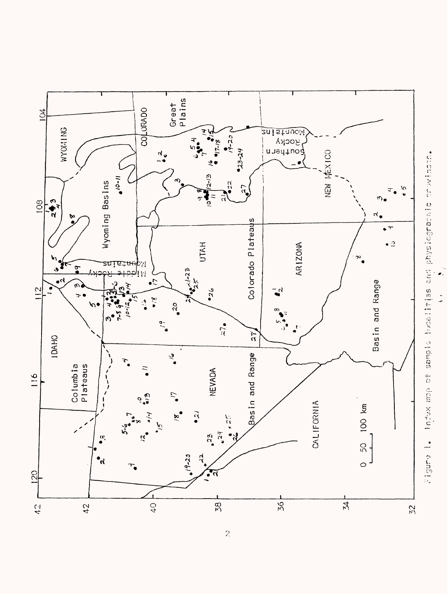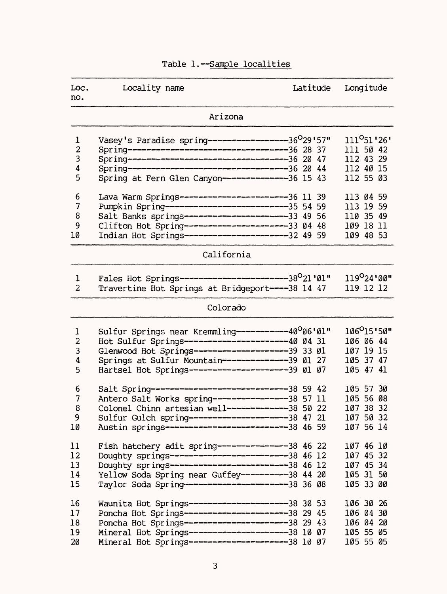| Loc.<br>no.             | Locality name                                                                                         | Latitude | Longitude                |
|-------------------------|-------------------------------------------------------------------------------------------------------|----------|--------------------------|
|                         | Arizona                                                                                               |          |                          |
| $\mathbf 1$             | Vasey's Paradise spring-----------------36 <sup>0</sup> 29'57"                                        |          | 111 <sup>0</sup> 51 '26' |
| $\overline{\mathbf{c}}$ |                                                                                                       |          | 111 50 42                |
| 3                       |                                                                                                       |          | 112 43 29                |
| 4                       | Spring---------------------------------36 20 44                                                       |          | 112 40 15                |
| 5                       | Spring at Fern Glen Canyon--------------36 15 43                                                      |          | 112 55 03                |
| 6                       | Lava Warm Springs-----------------------36 11 39                                                      |          | 113 04 59                |
| 7                       | Pumpkin Spring--------------------------35 54 59                                                      |          | 113 19 59                |
| 8                       | Salt Banks springs----------------------33 49 56                                                      |          | 110 35 49                |
| 9                       | Clifton Hot Spring----------------------33 04 48                                                      |          | 109 18 11                |
| 10                      | Indian Hot Springs----------------------32 49 59                                                      |          | 109 48 53                |
|                         | California                                                                                            |          |                          |
| 1                       | Fales Hot Springs-----------------------38 <sup>0</sup> 21'01"                                        |          | $119^{\circ}24'00''$     |
| $\overline{2}$          | Travertine Hot Springs at Bridgeport----38 14 47                                                      |          | 119 12 12                |
|                         | Colorado                                                                                              |          |                          |
| 1                       | Sulfur Springs near Kremmling----------40°06'01"                                                      |          | 106 <sup>0</sup> 15'50"  |
| $\overline{c}$          | Hot Sulfur Springs---------------------40 04 31                                                       |          | 106 06 44                |
| 3                       | Glenwood Hot Springs--------------------39 33 01                                                      |          | 107 19 15                |
| 4                       | Springs at Sulfur Mountain-------------39 01 27                                                       |          | 105 37 47                |
| 5                       | Hartsel Hot Springs---------------------39 01 07                                                      |          | 105 47 41                |
| 6                       | Salt Spring----------------------------38 59 42                                                       |          | 105 57 30                |
| 7                       | Antero Salt Works spring----------------38 57 11                                                      |          | 105 56 08                |
| 8                       | Colonel Chinn artesian well-------------38                                                            | 50 22    | 107 38 32                |
| 9                       |                                                                                                       |          | 107 50 32                |
| 1Ø                      | Sulfur Gulch spring---------------------38 47 21<br>Austin springs-------------------------38 46 59   |          | 107 56 14                |
| 11                      | Fish hatchery adit spring--------------38 46 22                                                       |          | 107 46 10                |
| 12                      |                                                                                                       |          | 107 45 32                |
| 13                      | Doughty springs--------------------------38 46 12<br>Doughty springs-------------------------38 46 12 |          | 107 45 34                |
| 14                      | Yellow Soda Spring near Guffey---------38 44 20                                                       |          | 105 31 50                |
| 15                      | Taylor Soda Spring----------------------38 36 08                                                      |          | 105 33 00                |
| 16                      | Waunita Hot Springs---------------------38 30 53                                                      |          | 106 30 26                |
| 17                      | Poncha Hot Springs----------------------38 29 45                                                      |          | 106 04 30                |
| 18                      | Poncha Hot Springs----------------------38 29 43                                                      |          | 106 04 20                |
| 19                      | Mineral Hot Springs---------------------38 10 07                                                      |          | 105 55 05                |
| 20                      | Mineral Hot Springs---------------------38 10 07                                                      |          | 105 55 05                |

# Table 1.-Sample localities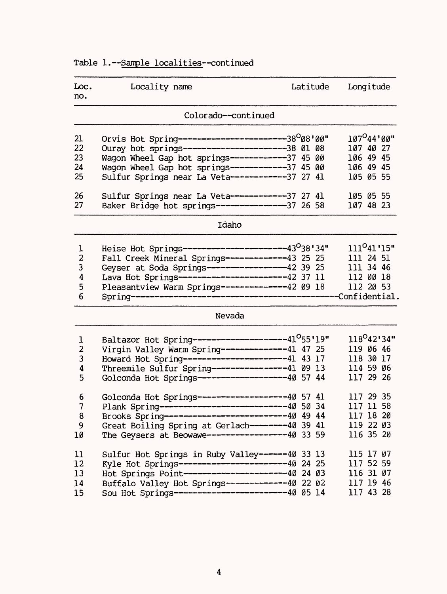# Table 1.--Sample localities--continued

| Loc.<br>no.                                 | Locality name                                                                                                                                                                                                                                                               | Latitude | Longitude                                                                   |
|---------------------------------------------|-----------------------------------------------------------------------------------------------------------------------------------------------------------------------------------------------------------------------------------------------------------------------------|----------|-----------------------------------------------------------------------------|
|                                             | Colorado--continued                                                                                                                                                                                                                                                         |          |                                                                             |
| 21<br>22<br>23<br>24<br>25                  | Orvis Hot Spring------------------------38 <sup>0</sup> 08'00"<br>Ouray hot springs-----------------------38 01 08<br>Wagon Wheel Gap hot springs------------37 45 00<br>Wagon Wheel Gap hot springs------------37 45 00<br>Sulfur Springs near La Veta------------37 27 41 |          | $107^O 44' 00''$<br>107 40 27<br>106 49 45<br>106 49 45<br>105 05 55        |
| 26<br>27                                    | Sulfur Springs near La Veta------------37 27 41<br>Baker Bridge hot springs---------------37 26 58                                                                                                                                                                          |          | 105 05 55<br>107 48 23                                                      |
|                                             | Idaho                                                                                                                                                                                                                                                                       |          |                                                                             |
| 1<br>$\overline{2}$<br>3<br>4<br>5<br>6     | Heise Hot Springs-----------------------43 <sup>0</sup> 38'34"<br>Fall Creek Mineral Springs-------------43 25 25<br>Geyser at Soda Springs-----------------42 39 25<br>Lava Hot Springs------------------------42 37 11<br>Pleasantview Warm Springs--------------42 09 18 |          | 111 <sup>0</sup> 41'15"<br>111 24 51<br>111 34 46<br>112 00 18<br>112 20 53 |
|                                             | Nevada                                                                                                                                                                                                                                                                      |          |                                                                             |
| 1<br>$\overline{\mathbf{c}}$<br>3<br>4<br>5 | Baltazor Hot Spring---------------------41 <sup>0</sup> 55'19"<br>Virgin Valley Warm Spring--------------41 47 25<br>Howard Hot Spring-----------------------41 43 17<br>Threemile Sulfur Spring---------------41 09 13<br>Golconda Hot Springs--------------------40 57 44 |          | $118^{O}42'34"$<br>119 06 46<br>118 30 17<br>114 59 06<br>117 29 26         |
| 6<br>7<br>8<br>9<br>10                      | Golconda Hot Springs---------------------40 57 41<br>Plank Spring----------------------------40 50 34<br>Brooks Spring---------------------------40 49 44<br>Great Boiling Spring at Gerlach--------40 39 41<br>The Geysers at Beowawe-----------------40 33 59             |          | 117 29 35<br>117 11 58<br>117 18 20<br>119 22 03<br>116 35 20               |
| 11<br>12<br>13<br>14<br>15                  | Sulfur Hot Springs in Ruby Valley------40 33 13<br>Kyle Hot Springs------------------------40 24 25<br>Hot Springs Point-----------------------40 24 03<br>Buffalo Valley Hot Springs-------------40 22 02<br>Sou Hot Springs-------------------------40 05 14              |          | 115 17 07<br>117 52 59<br>116 31 07<br>117 19 46<br>117 43 28               |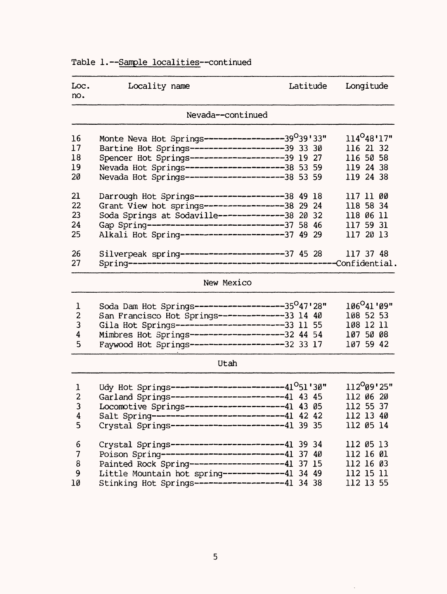# Table 1.--Sample localities--continued

| Loc.<br>no.                        | Locality name                                                                                                                                                                                                                                                              | Latitude | Longitude                                                                   |
|------------------------------------|----------------------------------------------------------------------------------------------------------------------------------------------------------------------------------------------------------------------------------------------------------------------------|----------|-----------------------------------------------------------------------------|
|                                    | Nevada--continued                                                                                                                                                                                                                                                          |          |                                                                             |
| 16<br>17<br>18<br>19<br>20         | Monte Neva Hot Springs-----------------39 <sup>0</sup> 39'33"<br>Bartine Hot Springs--------------------39 33 30<br>Spencer Hot Springs--------------------39 19 27<br>Nevada Hot Springs---------------------38 53 59<br>Nevada Hot Springs---------------------38 53 59  |          | $114^O 48' 17"$<br>116 21 32<br>116 50 58<br>119 24 38<br>119 24 38         |
| 21<br>22<br>23<br>24<br>25         | Darrough Hot Springs-------------------38 49 18<br>Grant View hot springs-----------------38 29 24<br>Soda Springs at Sodaville--------------38 20 32<br>Gap Spring-----------------------------37 58 46<br>Alkali Hot Spring----------------------37 49 29                |          | 117 11 00<br>118 58 34<br>118 06 11<br>117 59 31<br>117 20 13               |
| 26<br>27                           |                                                                                                                                                                                                                                                                            |          | 117 37 48                                                                   |
|                                    | New Mexico                                                                                                                                                                                                                                                                 |          |                                                                             |
| 1<br>$\overline{2}$<br>3<br>4<br>5 | Soda Dam Hot Springs--------------------35 <sup>0</sup> 47'28"<br>San Francisco Hot Springs--------------33 14 40<br>Gila Hot Springs-----------------------33 11 55<br>Mimbres Hot Springs--------------------32 44 54<br>Faywood Hot Springs--------------------32 33 17 |          | 106 <sup>0</sup> 41'09"<br>108 52 53<br>108 12 11<br>107 50 08<br>107 59 42 |

| ۰, |  |
|----|--|
|----|--|

 $\hat{\mathcal{A}}$ 

| 2<br>3<br>4<br>5 | Udy Hot Springs-----------------------41 <sup>0</sup> 51'30"<br>Garland Springs-------------------------41 43 45<br>Locomotive Springs----------------------41 43 05<br>Salt Spring----------------------------41 42 42<br>Crystal Springs-------------------------41 39 35 | $112^{O}09'25"$<br>112 06 20<br>112 55 37<br>112 13 40<br>112 05 14 |
|------------------|-----------------------------------------------------------------------------------------------------------------------------------------------------------------------------------------------------------------------------------------------------------------------------|---------------------------------------------------------------------|
| 6                | Crystal Springs-------------------------41 39 34                                                                                                                                                                                                                            | 112 05 13                                                           |
| $\overline{7}$   | Poison Spring--------------------------41 37 40                                                                                                                                                                                                                             | 112 16 01                                                           |
| 8                | Painted Rock Spring--------------------41 37 15                                                                                                                                                                                                                             | 112 16 03                                                           |
| - 9              | Little Mountain hot spring------------41 34 49                                                                                                                                                                                                                              | 112 15 11                                                           |
| 10               | Stinking Hot Springs-------------------41 34 38                                                                                                                                                                                                                             | 112 13 55                                                           |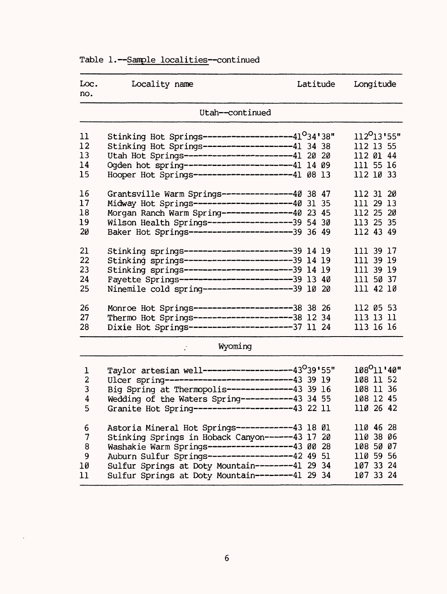# Table 1.--Sample localities--continued

| Loc. | Locality name | Latitude Longitude |  |
|------|---------------|--------------------|--|
| no.  |               |                    |  |

### Utah--continued

| 11<br>12<br>13<br>14<br>15 | Stinking Hot Springs--------------------41 <sup>0</sup> 34'38"<br>Stinking Hot Springs--------------------41 34 38<br>Utah Hot Springs-----------------------41 20 20<br>Ogden hot spring-----------------------41 14 09<br>Hooper Hot Springs---------------------41 08 13 |  | 112 <sup>0</sup> 13'55"<br>112 13 55<br>112 01 44<br>111 55 16<br>112 10 33 |  |
|----------------------------|-----------------------------------------------------------------------------------------------------------------------------------------------------------------------------------------------------------------------------------------------------------------------------|--|-----------------------------------------------------------------------------|--|
| 16<br>17<br>18<br>19<br>20 | Grantsville Warm Springs---------------40 38 47<br>Midway Hot Springs---------------------40 31 35<br>Morgan Ranch Warm Spring--------------40 23 45<br>Wilson Health Springs------------------39 54 30<br>Baker Hot Springs-----------------------39 36 49                 |  | 112 31 20<br>111 29 13<br>112 25 20<br>113 25 35<br>112 43 49               |  |
| 21<br>22<br>23<br>24<br>25 | Stinking springs------------------------39 14 19<br>Stinking springs------------------------39 14 19<br>Stinking springs------------------------39 14 19<br>Fayette Springs------------------------39 13 40<br>Ninemile cold spring-------------------39 10 20              |  | 111 39 17<br>111 39 19<br>111 39 19<br>111 50 37<br>111 42 10               |  |
| 26<br>27<br>28             | Monroe Hot Springs----------------------38 38 26<br>Thermo Hot Springs---------------------38 12 34<br>Dixie Hot Springs----------------------37 11 24                                                                                                                      |  | 112 05 53<br>113 13 11<br>113 16 16                                         |  |

| Wyoming |  |  |  |
|---------|--|--|--|
|         |  |  |  |

 $\mathcal{G}^{\mathcal{G}}$ 

 $\mathcal{A}$ 

| Taylor artesian well-------------------43°39'55" | 108 <sup>0</sup> 11'40"                                                                                                                                                                                   |
|--------------------------------------------------|-----------------------------------------------------------------------------------------------------------------------------------------------------------------------------------------------------------|
|                                                  | 108 11 52                                                                                                                                                                                                 |
|                                                  | 108 11 36                                                                                                                                                                                                 |
| Wedding of the Waters Spring----------43 34 55   | 108 12 45                                                                                                                                                                                                 |
| Granite Hot Spring---------------------43 22 11  | 110 26 42                                                                                                                                                                                                 |
|                                                  |                                                                                                                                                                                                           |
|                                                  | 110 46 28                                                                                                                                                                                                 |
| Stinking Springs in Hoback Canyon------43 17 20  | 110 38 06                                                                                                                                                                                                 |
| Washakie Warm Springs------------------43 00 28  | 108 50 07                                                                                                                                                                                                 |
| Auburn Sulfur Springs------------------42 49 51  | 110 59 56                                                                                                                                                                                                 |
|                                                  | 107 33 24                                                                                                                                                                                                 |
| Sulfur Springs at Doty Mountain--------41 29 34  | 107 33 24                                                                                                                                                                                                 |
|                                                  | Ulcer spring----------------------------43 39 19<br>Big Spring at Thermopolis--------------43 39 16<br>Astoria Mineral Hot Springs------------43 18 01<br>Sulfur Springs at Doty Mountain--------41 29 34 |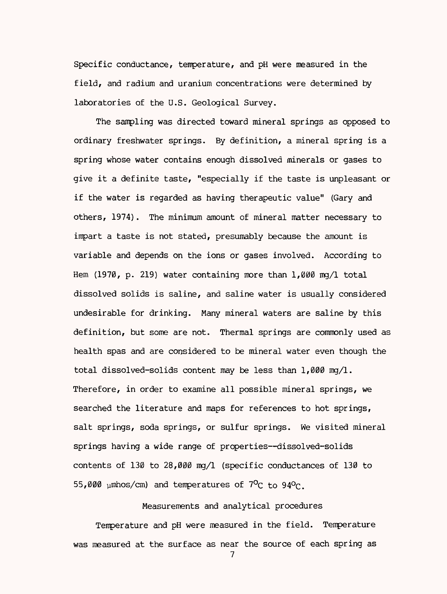Specific conductance, temperature, and pH were measured in the field, and radium and uranium concentrations were determined by laboratories of the U.S. Geological Survey.

The sampling was directed toward mineral springs as opposed to ordinary freshwater springs. By definition, a mineral spring is a spring whose water contains enough dissolved minerals or gases to give it a definite taste, "especially if the taste is unpleasant or if the water is regarded as having therapeutic value" (Gary and others, 1974). The minimum amount of mineral matter necessary to impart a taste is not stated, presumably because the amount is variable and depends on the ions or gases involved. According to Hem (1970, p. 219) water containing more than 1,000 mg/1 total dissolved solids is saline, and saline water is usually considered undesirable for drinking. Many mineral waters are saline by this definition, but some are not. Thermal springs are commonly used as health spas and are considered to be mineral water even though the total dissolved-solids content may be less than 1,000 mg/1. Therefore, in order to examine all possible mineral springs, we searched the literature and maps for references to hot springs, salt springs, soda springs, or sulfur springs. We visited mineral springs having a wide range of properties--dissolved-solids contents of 130 to 28,000 mg/1 (specific conductances of 130 to 55,000  $\mu$ mhos/cm) and temperatures of  $7^{\circ}$ c to 94 $^{\circ}$ c.

Measurements and analytical procedures

Temperature and pH were measured in the field. Temperature was measured at the surface as near the source of each spring as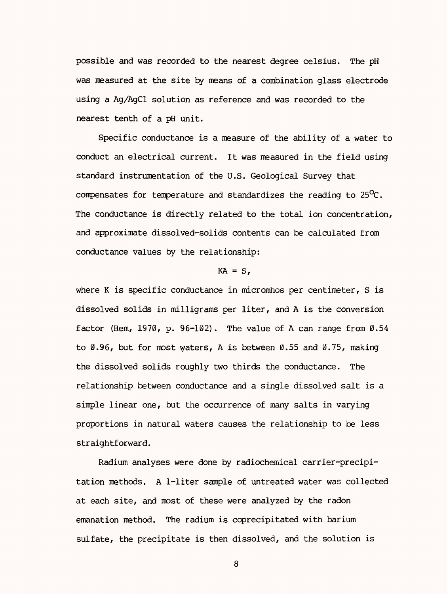possible and was recorded to the nearest degree Celsius. The pH was measured at the site by means of a combination glass electrode using a Ag/AgCl solution as reference and was recorded to the nearest tenth of a pH unit.

Specific conductance is a measure of the ability of a water to conduct an electrical current. It was measured in the field using standard instrumentation of the U.S. Geological Survey that compensates for temperature and standardizes the reading to  $25^{\circ}$ C. The conductance is directly related to the total ion concentration, and approximate dissolved-solids contents can be calculated from conductance values by the relationship:

#### $KA = S$ .

where K is specific conductance in micromhos per centimeter, S is dissolved solids in milligrams per liter, and A is the conversion factor (Hem,  $1970$ , p.  $96-102$ ). The value of A can range from  $0.54$ to  $\varnothing$ .96, but for most waters, A is between  $\varnothing$ .55 and  $\varnothing$ .75, making the dissolved solids roughly two thirds the conductance. The relationship between conductance and a single dissolved salt is a simple linear one, but the occurrence of many salts in varying proportions in natural waters causes the relationship to be less straightforward.

Radium analyses were done by radiochemical carrier-precipitation methods. A 1-liter sample of untreated water was collected at each site, and most of these were analyzed by the radon emanation method. The radium is coprecipitated with barium sulfate, the precipitate is then dissolved, and the solution is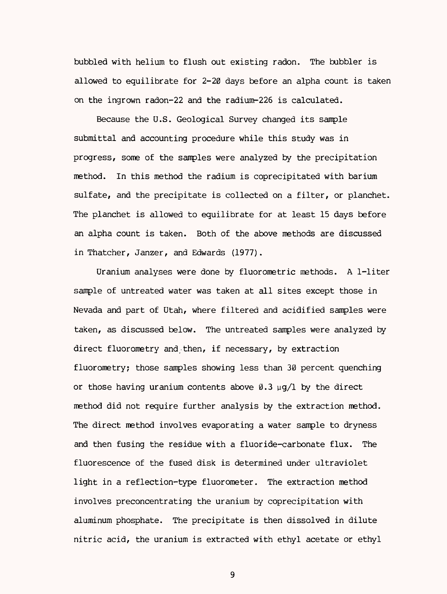bubbled with helium to flush out existing radon. The bubbler is allowed to equilibrate for 2-20 days before an alpha count is taken on the ingrown radon-22 and the radium-226 is calculated.

Because the U.S. Geological Survey changed its sample submittal and accounting procedure while this study was in progress, some of the samples were analyzed by the precipitation method. In this method the radium is coprecipitated with barium sulfate, and the precipitate is collected on a filter, or planchet. The planchet is allowed to equilibrate for at least 15 days before an alpha count is taken. Both of the above methods are discussed in Thatcher, Janzer, and Edwards (1977).

Uranium analyses were done by fluorometric methods. A 1-liter sample of untreated water was taken at all sites except those in Nevada and part of Utah, where filtered and acidified samples were taken, as discussed below. The untreated samples were analyzed by direct fluorometry and then, if necessary, by extraction fluorometry; those samples showing less than 30 percent quenching or those having uranium contents above  $\varnothing$ .3  $\mu q/l$  by the direct method did not require further analysis by the extraction method. The direct method involves evaporating a water sample to dryness and then fusing the residue with a fluoride-carbonate flux. The fluorescence of the fused disk is determined under ultraviolet light in a reflection-type fluorometer. The extraction method involves preconcentrating the uranium by coprecipitation with aluminum phosphate. The precipitate is then dissolved in dilute nitric acid, the uranium is extracted with ethyl acetate or ethyl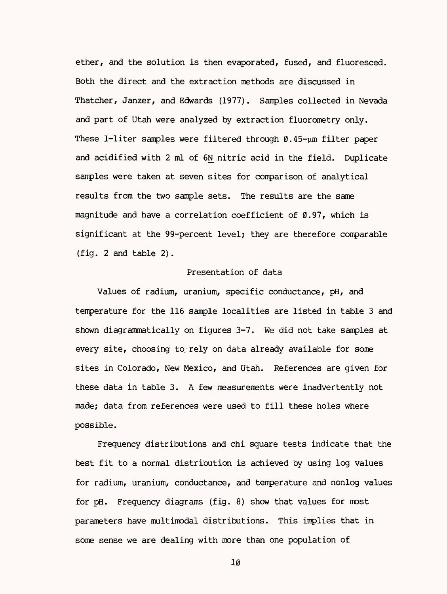ether, and the solution is then evaporated, fused, and fluoresced. Both the direct and the extraction methods are discussed in Thatcher, Janzer, and Edwards (1977). Samples collected in Nevada and part of Utah were analyzed by extraction fluorometry only. These 1-liter samples were filtered through  $\varnothing$ .45-um filter paper and acidified with 2 ml of 6N nitric acid in the field. Duplicate samples were taken at seven sites for comparison of analytical results from the two sample sets. The results are the same magnitude and have a correlation coefficient of 0.97, which is significant at the 99-percent level; they are therefore comparable (fig. 2 and table 2).

### Presentation of data

Values of radium, uranium, specific conductance, pH, and temperature for the 116 sample localities are listed in table 3 and shown diagrammatically on figures 3-7. We did not take samples at every site, choosing to rely on data already available for some sites in Colorado, New Mexico, and Utah. References are given for these data in table 3. A few measurements were inadvertently not made; data from references were used to fill these holes where possible.

Frequency distributions and chi square tests indicate that the best fit to a normal distribution is achieved by using log values for radium, uranium, conductance, and temperature and nonlog values for pH. Frequency diagrams (fig. 8) show that values for most parameters have multimodal distributions. This implies that in some sense we are dealing with more than one population of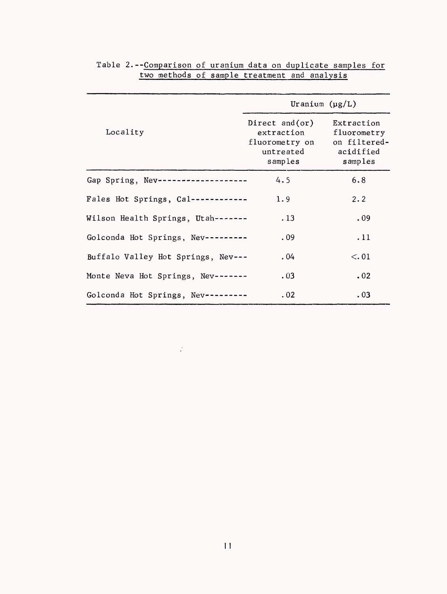|                                     | Uranium $(\mu g/L)$                                                           |                                                                   |
|-------------------------------------|-------------------------------------------------------------------------------|-------------------------------------------------------------------|
| Locality                            | Direct and $($ or $)$<br>extraction<br>fluorometry on<br>untreated<br>samples | Extraction<br>fluorometry<br>on filtered-<br>acidified<br>samples |
| Gap Spring, Nev ------------------- | 4.5                                                                           | 6.8                                                               |
| Fales Hot Springs, Cal------------  | 1.9                                                                           | 2.2                                                               |
| Wilson Health Springs, Utah-------  | . 13                                                                          | .09                                                               |
| Golconda Hot Springs, Nev---------  | .09                                                                           | .11                                                               |
| Buffalo Valley Hot Springs, Nev---  | .04                                                                           | < 0.01                                                            |
| Monte Neva Hot Springs, Nev-------  | .03                                                                           | .02                                                               |
| Golconda Hot Springs, Nev --------  | .02                                                                           | .03                                                               |

|  | Table 2.--Comparison of uranium data on duplicate samples for |  |  |  |  |
|--|---------------------------------------------------------------|--|--|--|--|
|  | two methods of sample treatment and analysis                  |  |  |  |  |

 $\frac{1}{2}$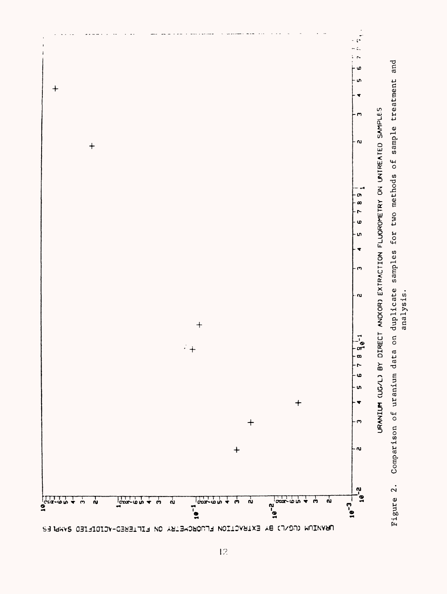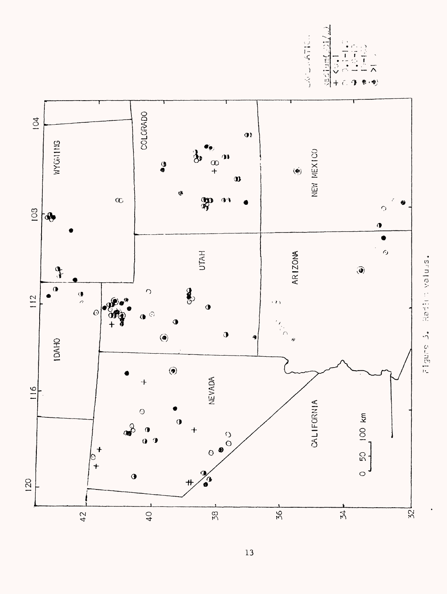28749447103 <u>vadium</u>

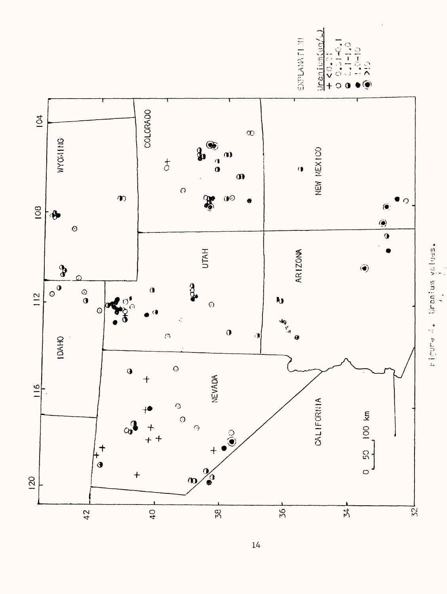$Uran[cm(uq/\epsilon)]$ 医口腔内的  $\overline{1}$ Ó

riguna, buidan la pongre

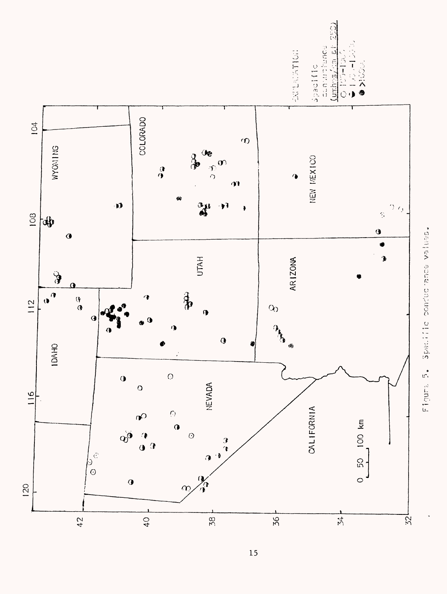

Figure 5. Specific conductance values.

a<br>S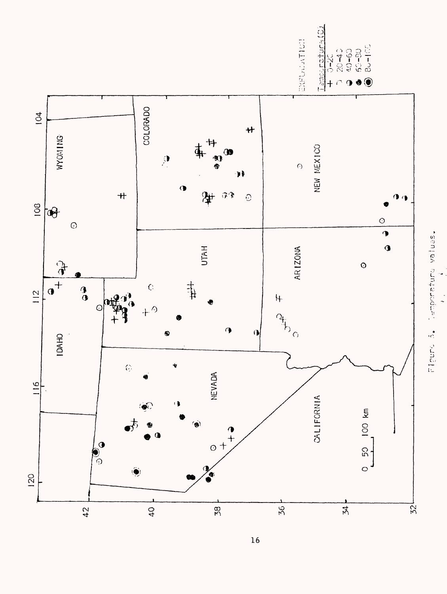

 $\overline{16}$ 

riguno S. Temporaturo values.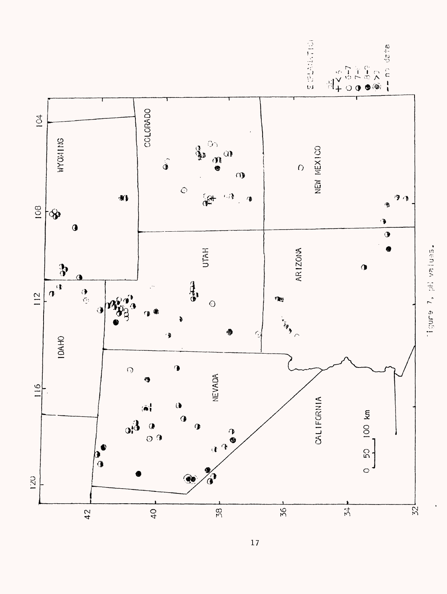

-tgure 7, pH values.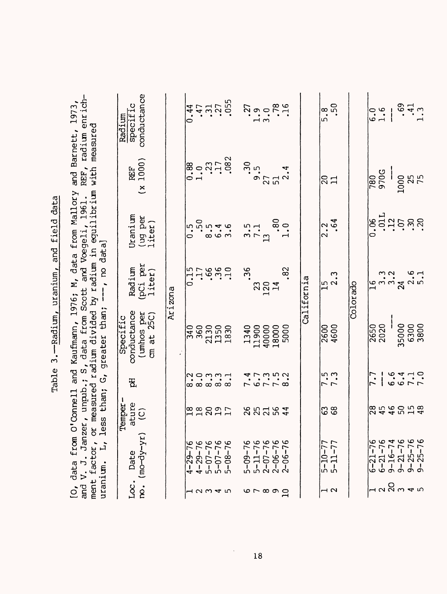| i<br>į<br>$\frac{1}{2}$  |  |
|--------------------------|--|
| てらい                      |  |
| $1.177$ $-2.711$ $-7.77$ |  |
| ١<br>í                   |  |
|                          |  |

[O, data from O'Connell and Kaufmann, 1976; M, data from Mallory and Barnett, 1973,<br>and V. J. Janzer, unpub.; S, data from Scott and Voegeli, 1961. REF, radium enrich-<br>ment factor, or measured radium divided by radium in e and V. J. Janzer, unpub.; S, data from Scott and Voegeli, 1961. REF, radium enrich-[0, data from O'Connell and Kaufmann, 1976; M, data from Mallory and Barnett, 1973, ment factor, or measured radium divided by radium in equilibrium with measured ment factor, or measured radium divided by radium in  $\epsilon$ <br>uranium.  $L$ , less than; G, greater than; ---, no data]

|                          | $\mathbf{u}$<br>uranium.                                      | less                   |                           | than; G, greater than;                                            | $--$ , no data]                 |                                  |                                                                |                                                         |
|--------------------------|---------------------------------------------------------------|------------------------|---------------------------|-------------------------------------------------------------------|---------------------------------|----------------------------------|----------------------------------------------------------------|---------------------------------------------------------|
| Loc.                     | $\text{no.}$ (mo-dy-yr)<br>Date                               | ature<br>(C)<br>Temper | ቼ                         | conductance<br>(umbos per cm at 25C)<br>Specific                  | $(pci per$<br>liter)<br>Radium  | Uranium<br>(ug per<br>liter)     | <b>REF</b><br>1000)<br>$\tilde{\mathcal{L}}$                   | conductance<br>specific<br>Radium                       |
|                          |                                                               |                        |                           |                                                                   | Arizona                         |                                  |                                                                |                                                         |
|                          |                                                               |                        |                           |                                                                   |                                 | $\frac{5}{0}$                    | $\begin{array}{c} 0.88 \\ -1.73 \\ -3.71 \\ -0.82 \end{array}$ | 0.44                                                    |
| ュ234                     |                                                               |                        |                           |                                                                   |                                 |                                  |                                                                |                                                         |
| ഥ                        | $4-29-76$<br>$4-29-76$<br>$5-07-76$<br>$5-07-76$<br>$5-08-76$ | Eagan<br>Fann          | <br> <br>  ထံ ထံ ထံ ထံ ထံ | <br>  1900<br>  1900<br>  1900<br>  1900<br>  1900                | $0.7560$<br>$0.7560$<br>$0.750$ | $50$<br>$8.46$<br>$8.46$         |                                                                | $.37$<br>$.37$<br>$.055$                                |
|                          |                                                               |                        |                           |                                                                   |                                 |                                  |                                                                |                                                         |
|                          |                                                               |                        |                           |                                                                   | .36                             |                                  |                                                                |                                                         |
|                          |                                                               |                        |                           |                                                                   |                                 | $\frac{3}{7} \cdot \frac{5}{11}$ |                                                                |                                                         |
| or oo q                  | $5-09-76$<br>$5-11-76$<br>$2-07-76$<br>$2-06-76$<br>$2-06-76$ | 85254                  | $7.9.78$<br>$7.9.52$      | $\begin{array}{c} 1340 \\ 11900 \\ 40000 \\ 18000 \\ \end{array}$ | 23<br>1214                      |                                  | $30$<br>$9.5$<br>$51$<br>$2.4$                                 | $\begin{array}{c} .27 \\ .19 \\ .78 \\ .16 \end{array}$ |
|                          |                                                               |                        |                           |                                                                   | .82                             | $.80$<br>1.0                     |                                                                |                                                         |
|                          |                                                               |                        |                           |                                                                   | California                      |                                  |                                                                |                                                         |
| $\overline{\phantom{a}}$ | $\frac{5-10-77}{5-11-77}$                                     | 38                     | $\frac{1}{7}$ .3          | $\frac{2600}{4600}$                                               | $\frac{15}{2}$ .3               | $\frac{2.2}{64}$                 | $\overline{\mathbb{R}}$                                        | $\sqrt{2}$                                              |
|                          |                                                               |                        |                           |                                                                   | Colorado                        |                                  |                                                                |                                                         |
|                          | $6 - 21 - 76$                                                 |                        | 7.7                       | 2650<br>2020                                                      | $\frac{6}{1}$                   |                                  | $\frac{180}{9705}$                                             |                                                         |
|                          |                                                               |                        |                           |                                                                   |                                 |                                  |                                                                | $\begin{array}{c} 0.6 \\ -1.6 \end{array}$              |
|                          |                                                               |                        |                           |                                                                   |                                 |                                  |                                                                |                                                         |
| ៷៷ៜ៷ <i>៹</i> ៲៷         | $6-21-76$<br>$9-16-74$<br>$9-21-76$<br>$9-25-76$<br>$9-25-76$ | 8546058<br>854555      | $6.410$<br>$6.410$        | 35000<br>6300<br>3800                                             | $3.26$<br>$3.420$<br>$7.10$     | ុំ<br>ខ្មុំដូដ្ឋខ្ពង់<br>ខ្មុំ   | 1000<br>25<br>75                                               | $.41$<br>$.41$<br>$.3$                                  |
|                          |                                                               |                        |                           |                                                                   |                                 |                                  |                                                                |                                                         |

 $\ddot{\phantom{0}}$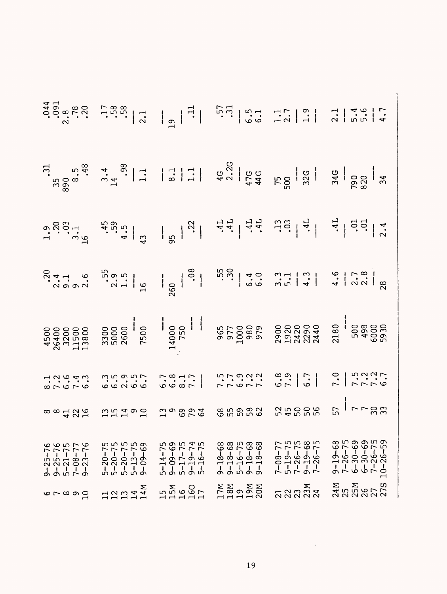|                                                                                                                                                                                                                                                                                                       |                                                                       |                                                     |                                                                                   |                                                     | $\begin{array}{ccc} 1.35 & 0.000 & 0.000 & 0.000 & 0.000 & 0.000 & 0.000 & 0.000 & 0.000 & 0.000 & 0.000 & 0.000 & 0.000 & 0.000 & 0.000 & 0.000 & 0.000 & 0.000 & 0.000 & 0.000 & 0.000 & 0.000 & 0.000 & 0.000 & 0.000 & 0.000 & 0.000 & 0.000 & 0.000 & 0.000 & 0.0$ |
|-------------------------------------------------------------------------------------------------------------------------------------------------------------------------------------------------------------------------------------------------------------------------------------------------------|-----------------------------------------------------------------------|-----------------------------------------------------|-----------------------------------------------------------------------------------|-----------------------------------------------------|-------------------------------------------------------------------------------------------------------------------------------------------------------------------------------------------------------------------------------------------------------------------------|
|                                                                                                                                                                                                                                                                                                       |                                                                       |                                                     |                                                                                   |                                                     |                                                                                                                                                                                                                                                                         |
|                                                                                                                                                                                                                                                                                                       |                                                                       |                                                     |                                                                                   |                                                     |                                                                                                                                                                                                                                                                         |
| $\frac{1}{2}$<br>$\frac{1}{2}$<br>$\frac{1}{2}$<br>$\frac{1}{2}$<br>$\frac{1}{2}$<br>$\frac{1}{2}$<br>$\frac{1}{2}$<br>$\frac{1}{2}$<br><br>$\frac{1}{2}$<br><br><br><br><br><br><br><br><br><br><br><br><br><br><br><br><br><br><br><br><br><br><br><br><br><br><br><br><br><br><br><br><br><br><br> | $\begin{array}{c} 0.0000 \\ 0.0000 \\ 0.0000 \\ \end{array}$          | $6.300$<br>$-3.700$                                 | rrorr.<br>1792.                                                                   | $\frac{1}{1}$ . $\frac{1}{9}$                       | $7 - 0$<br>$-7 - 7$<br>$-7 - 0$<br>$-7$<br>$-7$<br>$-7$                                                                                                                                                                                                                 |
| $\infty$ $\infty$ $\infty$ $\infty$ $\infty$                                                                                                                                                                                                                                                          | $\begin{array}{c}\n\ldots \\ \ldots \\ \ldots \\ \ldots\n\end{array}$ | 100002                                              | <b>85888</b>                                                                      |                                                     | $\frac{2}{5}$   $\sim$ $\sim$ $\approx$ $\frac{2}{5}$                                                                                                                                                                                                                   |
| $9-25-76$<br>$9-25-76$<br>$5-21-75$<br>$7-08-77$<br>$9-23-76$                                                                                                                                                                                                                                         | 5-20-75<br>5-20-75<br>5-20-75<br>5-13-75<br>9-09-69                   | 5-14-75<br>9-09-69<br>5-17-75<br>9-19-74<br>5-16-75 | $9 - 18 - 68$<br>$9 - 18 - 68$<br>$5 - 16 - 75$<br>$9 - 18 - 68$<br>$9 - 18 - 68$ | 7-08-77<br>5-19-75<br>7-26-75<br>9-19-68<br>7-26-75 | $9-19-68$<br>$7-26-75$<br>$6-30-69$<br>$6-30-69$<br>$7-26-75$<br>$10-26-59$                                                                                                                                                                                             |
| $6 - 890$                                                                                                                                                                                                                                                                                             | 11274                                                                 | 15M<br>15460<br>177                                 | NON NATION                                                                        | ភ្លុ<br>ភ្លុង ភ្លុង                                 | <b>NANS</b><br>NANS<br>NANS<br>NANS                                                                                                                                                                                                                                     |

 $\ddot{\phantom{0}}$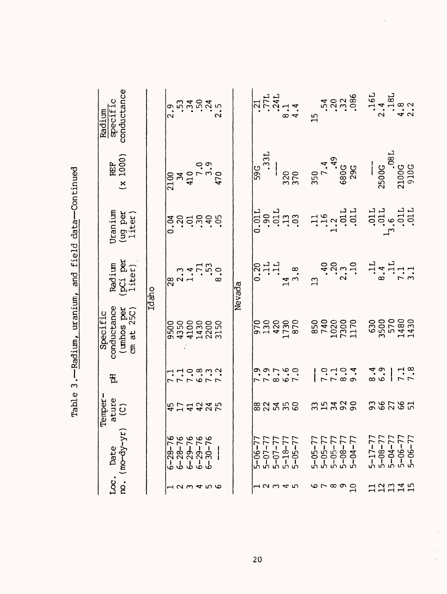| conductance<br>Radium<br>specific                  |       |                                                                                                                                                                                          |         |  |        |                |      |       |                                            | $\frac{21}{371}$<br>$\frac{1711}{8.14}$<br>$\frac{241}{4.4}$ | $\overline{1}$ |                                            | 540<br>502<br>540<br>540            | $16L$<br>$2.4$ |                               | $18L$<br>$4.8$<br>$2.2$                                       |  |
|----------------------------------------------------|-------|------------------------------------------------------------------------------------------------------------------------------------------------------------------------------------------|---------|--|--------|----------------|------|-------|--------------------------------------------|--------------------------------------------------------------|----------------|--------------------------------------------|-------------------------------------|----------------|-------------------------------|---------------------------------------------------------------|--|
| <b>REF</b><br>1000)<br>$\breve{\mathbf{x}}$        |       | $\begin{array}{c} 2100 \\ 34 \\ 410 \\ 7 \\ .0 \\ 34 \\ .0 \\ 0 \end{array}$                                                                                                             |         |  |        | $\frac{1}{59}$ | .33L |       |                                            | 320                                                          |                |                                            | $350$<br>$7.4$<br>$680$ G<br>$29$ G |                | $-2500G$                      | $100G$<br>9100G<br>910G                                       |  |
| Uranium<br>(ug per<br>liter)                       |       |                                                                                                                                                                                          |         |  |        |                |      |       |                                            | $0.90$<br>$.90$<br>$.91$<br>$.91$<br>$.91$<br>$.91$          |                |                                            | $\frac{11}{1.3011}$                 |                |                               | $\begin{array}{c} .011\\ .011\\ .011\\ .011 \end{array}$      |  |
| (pCi per<br>liter)<br>Radium                       | Idaho | $\frac{1}{28}$<br>$\frac{3}{2}$<br>$\frac{4}{1}$<br>$\frac{1}{2}$<br>$\frac{5}{2}$<br>$\frac{3}{2}$<br>$\frac{3}{2}$<br>$\frac{3}{2}$<br>$\frac{3}{2}$<br>$\frac{3}{2}$<br>$\frac{3}{2}$ |         |  | Nevada |                |      | 0.211 |                                            | $\frac{14}{3}$ .8                                            | $\mathbf{C}$   | $30000$<br>$-20000$                        |                                     |                |                               | $\frac{1}{8}$ , $\frac{4}{1}$ , $\frac{1}{1}$ , $\frac{1}{1}$ |  |
| conductance<br>(mhos per<br>cm at 25C)<br>Specific |       | 9500<br>4350<br>44300<br>44300<br>550                                                                                                                                                    |         |  |        |                |      |       |                                            |                                                              |                | 850<br>740<br>1020<br>1170<br>1170<br>1170 |                                     |                |                               | 630<br>3500<br>571830<br>1430<br>1430                         |  |
| £                                                  |       |                                                                                                                                                                                          | 7.08972 |  |        |                |      |       |                                            |                                                              |                | $0.104$<br>$0.704$                         |                                     |                | $\frac{6 \cdot 9}{6 \cdot 9}$ | 7.3                                                           |  |
| Temper-<br>ature<br>(C)                            |       | おけれなみで                                                                                                                                                                                   |         |  |        |                |      |       | 82558                                      |                                                              |                | 35339                                      |                                     |                |                               | <b>38785</b>                                                  |  |
| $\infty.$ (mo-dy-yr)<br>Date                       |       | $6-28-76$<br>$6-28-76$<br>$6-29-76$<br>$6-29-76$<br>$6-30-76$                                                                                                                            |         |  |        | $5 - 06 - 77$  |      |       | $5-07-77$<br>5-07-77<br>5-18-77<br>5-05-77 |                                                              | 5-05-77        | 5-05-77<br>5-05-77<br>5-08-77<br>5-04-77   |                                     |                |                               | 5-17-77<br>5-08-77<br>5-04-77<br>5-06-77<br>5-06-77           |  |
| Loc.                                               |       |                                                                                                                                                                                          |         |  |        |                |      |       | 12345                                      |                                                              |                | $\circ$ $\circ$ $\circ$ $\circ$ $\circ$    |                                     |                |                               | 12245                                                         |  |

l,

 $\hat{\boldsymbol{\gamma}}$ 

 $\frac{1}{\sqrt{2\pi}}$ 

Table 3. - Radium, uranium, and field data-continued Table 3.—Radium, uranium, and field data—Continued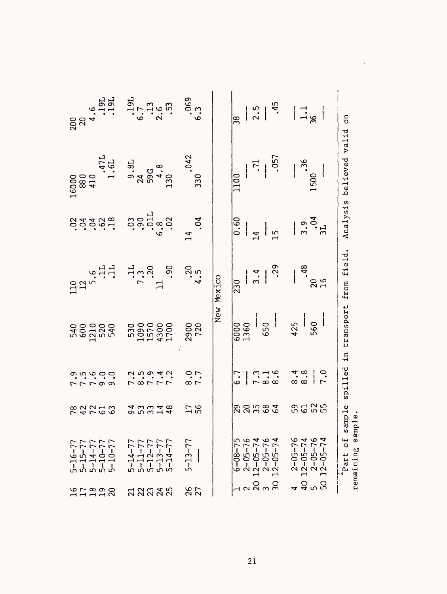| Part of<br>$2 - 05 - 76$<br>$12 - 05 - 74$<br>$2 - 05 - 76$<br>$12 - 05 - 74$<br>$6 - 08 - 75$<br>$2-05-76$<br>$12-05-74$<br>$2-05-76$<br>$12-05-74$<br>$5 - 13 - 77$<br>5-16-77<br>5-15-77<br>5-14-77<br>5-10-77<br>5-10-77<br>$5 - 14 - 77$<br>$5-14-77$<br>$5-11-77$<br>$5-12-77$<br>$5-13-77$<br>4 Q n D<br>4 D D<br>12838<br>26<br>27<br><b>112928</b><br>33335 | $.47L$<br>$1.6L$                                                                                                                                                                                            | $\begin{array}{c} .19L \\ 6.7 \\ 2.6 \\ .53 \end{array}$<br>$9.8L$<br>$24$<br>$59G$<br>$4.8$<br>$130$<br>$\begin{array}{c} .90 \\ .90 \\ .011 \\ .02 \end{array}$<br>oć<br>$\frac{11}{7}$<br>$\frac{3}{20}$<br>530<br>10900<br>1441<br>1700<br>8.77.7<br><b>43348</b><br>95348 | $.069$<br>$6.3$<br>$330$ . 042<br>.04<br>$\mathbf{1}$<br>$.20$<br>4.5<br>2900<br>720<br>7.7<br>56<br>54 | New Mexico | $\frac{1}{2.5}$<br>$\frac{8}{3}$<br>.057<br>$\ddot{z}$<br>$\overline{110}$<br>$\frac{60}{60}$<br>$\overline{6}$<br>$\bar{z}$<br>.29<br>3.4<br>$\overline{230}$<br>650<br>6000<br>1360<br>$7.16$<br>$8.16$<br>7. 6<br><b>ARHES</b> | $  \frac{1}{4}$ $  \frac{1}{8}$<br>$.36$<br>1500<br>$\frac{3.9}{3.04}$<br>.48<br>$\frac{20}{16}$<br>$\begin{array}{c c} 425 \\ -560 \end{array}$<br>$\frac{4}{3}$ $\frac{\infty}{6}$<br>7.0<br><b>3d25</b> | δñ<br>believed valid<br>Analysis<br>spilled in transport from field.<br>sample<br>remaining sample. |
|----------------------------------------------------------------------------------------------------------------------------------------------------------------------------------------------------------------------------------------------------------------------------------------------------------------------------------------------------------------------|-------------------------------------------------------------------------------------------------------------------------------------------------------------------------------------------------------------|--------------------------------------------------------------------------------------------------------------------------------------------------------------------------------------------------------------------------------------------------------------------------------|---------------------------------------------------------------------------------------------------------|------------|-----------------------------------------------------------------------------------------------------------------------------------------------------------------------------------------------------------------------------------|------------------------------------------------------------------------------------------------------------------------------------------------------------------------------------------------------------|-----------------------------------------------------------------------------------------------------|
| <b>22256</b>                                                                                                                                                                                                                                                                                                                                                         | $200$<br>$20$<br>$4.6$<br>$1.9L$<br>$1.9L$<br>$\begin{array}{c} 16000 \\ 880 \\ 410 \end{array}$<br>33.59.99<br>$\begin{array}{c} 110 \\ 12 \\ 5 \cdot .5 \\ \vdots \\ 11 \\ \end{array}$<br>rrraa<br>onoco |                                                                                                                                                                                                                                                                                |                                                                                                         |            |                                                                                                                                                                                                                                   |                                                                                                                                                                                                            |                                                                                                     |
|                                                                                                                                                                                                                                                                                                                                                                      |                                                                                                                                                                                                             |                                                                                                                                                                                                                                                                                |                                                                                                         |            |                                                                                                                                                                                                                                   |                                                                                                                                                                                                            |                                                                                                     |

 $\sim$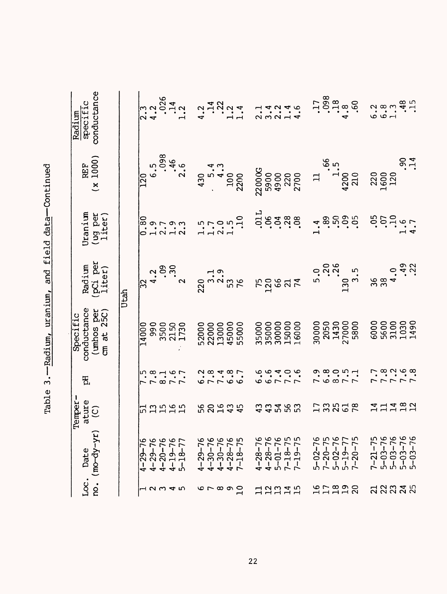| conductance<br>specific<br>Radium                   |      |                 |     |      | $.026$<br>1.14                                   |       | $4.34$<br>$-1.4$<br>$-1.4$                         |                         |                          |                |               | 14246.<br>2.2.4                            |       |                     |       | $.17$<br>$.098$<br>$.4.8$ |                                        |             | .60           |                    |               | $6.89948$<br>$6.480$<br>$-1.5$                   |  |
|-----------------------------------------------------|------|-----------------|-----|------|--------------------------------------------------|-------|----------------------------------------------------|-------------------------|--------------------------|----------------|---------------|--------------------------------------------|-------|---------------------|-------|---------------------------|----------------------------------------|-------------|---------------|--------------------|---------------|--------------------------------------------------|--|
| <b>REF</b><br>1000)<br>$\tilde{\mathbf{x}}$         |      | $\overline{20}$ |     | .098 | $.46$<br>2.6                                     | 430   | ഗ                                                  | $\overline{\mathbf{r}}$ | 100<br>2200              |                | <b>22000G</b> | 5900                                       |       | 4900<br>220<br>2700 |       | $\Xi$                     |                                        | 4200<br>210 |               | 220<br>1600<br>120 |               | 0.14                                             |  |
| Uranium<br>(ug per<br>liter)                        |      | 0.80            |     |      |                                                  |       |                                                    | 2.0                     |                          | $1.5$<br>$1.5$ |               | 5.5588                                     |       |                     |       | $\ddot{\mathbf{r}}$       | $\ddot{3}$ .                           | 50.00       |               |                    |               | $-3.5$<br>$-1.6$<br>$-1.6$<br>$-1.6$             |  |
| (pCi per<br>liter)<br>Radium                        | Utah |                 |     |      | $\ddot{.}$                                       |       | $220$<br>$3 \cdot 3 \cdot 1$<br>$53 \cdot 9$<br>76 |                         |                          |                |               | <b>750</b><br>1206                         |       | 74                  |       | 5.0                       | 200                                    | 130         | 3.5           | 96                 | $38$<br>$4.0$ | .49                                              |  |
| conductance<br>(umhos per<br>cm at 25C)<br>Specific |      | 14000           | 990 |      | 3500<br>2150<br>1730                             | 52000 | 22000                                              | 13000                   | 45000                    | 55000          | 35000         | 35000                                      | 30000 | 15000               | 16000 |                           | 30000<br>2050<br>21430<br>5800<br>5800 |             |               |                    |               | 6000<br>5600<br>5000<br>5000<br>14900            |  |
| ቼ                                                   |      |                 |     |      | $7.840$<br>$7.810$<br>$7.70$                     |       | $0.8487$<br>$0.78487$                              |                         |                          |                |               | oorrr<br>Codoo                             |       |                     |       |                           | 1.981.1<br>0.891.1                     |             |               |                    |               | 7.80000                                          |  |
| Temper-<br>ature<br>$\widehat{c}$                   |      |                 |     |      | ជួងដូង                                           |       | <b>38535</b>                                       |                         |                          |                |               | 3345<br>335                                |       |                     | ္မက   |                           | 350 DB                                 |             |               |                    |               | 41482<br>11482                                   |  |
| no. (mo-dy-yr)<br>Date                              |      | $4 - 29 - 76$   |     |      | $4-29-76$<br>$4-20-76$<br>$4-19-76$<br>$5-18-77$ |       | $4-29-76$<br>$4-30-76$<br>$4-30-76$                |                         | $4 - 28 - 76$<br>7-18-75 |                | $4 - 28 - 76$ | $4-28-76$<br>5-01-76<br>7-18-75<br>7-19-75 |       |                     |       | $5 - 02 - 76$             | $7-20-75$<br>5-02-76<br>5-19-77        |             | $7 - 20 - 75$ | $7 - 21 - 75$      |               | $5-03-76$<br>$5-03-76$<br>$5-03-76$<br>$5-03-76$ |  |
| Loc.                                                |      |                 |     |      | 12345                                            |       | er oo a<br>F                                       |                         |                          |                |               | <b>12245</b>                               |       |                     |       |                           |                                        |             |               |                    |               | <b>¤ឧឌឌន</b>                                     |  |

Table 3. - Radium, uranium, and field data-Continued Table 3.——Radium, uranium, and field data——Continued

 $\overline{22}$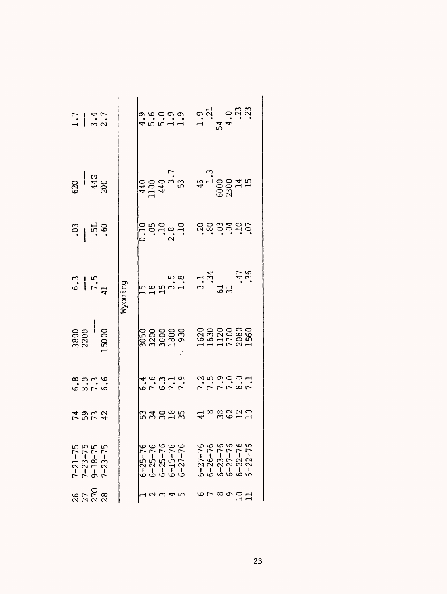| $\frac{1}{3}$ .7 |                                                       |         |                                                    |  |                                             |                                                                                                                                                                                                                                                                                                                                 |                                                     |  |  |  |
|------------------|-------------------------------------------------------|---------|----------------------------------------------------|--|---------------------------------------------|---------------------------------------------------------------------------------------------------------------------------------------------------------------------------------------------------------------------------------------------------------------------------------------------------------------------------------|-----------------------------------------------------|--|--|--|
|                  | $rac{20}{430}$                                        |         |                                                    |  |                                             |                                                                                                                                                                                                                                                                                                                                 |                                                     |  |  |  |
|                  | $\frac{3}{156}$                                       |         |                                                    |  | $0.10$<br>$0.10$<br>$2.3$<br>$1.0$<br>$1.0$ | dencies                                                                                                                                                                                                                                                                                                                         |                                                     |  |  |  |
|                  | $\frac{6.3}{7.5}$                                     | wyoming |                                                    |  |                                             | $\begin{bmatrix} 1 & 5 & 5 & 5 \\ 1 & 3 & 5 & 5 \\ 1 & 3 & 5 & 5 \\ 1 & 3 & 5 & 5 \\ 1 & 3 & 5 & 5 \\ 1 & 3 & 5 & 5 \\ 1 & 3 & 5 & 5 \\ 1 & 3 & 5 & 5 \\ 1 & 3 & 5 & 5 \\ 1 & 3 & 5 & 5 \\ 1 & 3 & 5 & 5 \\ 1 & 3 & 5 & 5 \\ 1 & 3 & 5 & 5 \\ 1 & 3 & 5 & 5 \\ 1 & 3 & 5 & 5 \\ 1 & 3 & 5 & 5 \\ 1 & 3 & 5 & 5 \\ 1 & 3 & 5 & $ |                                                     |  |  |  |
|                  | $\begin{array}{c} 3800 \\ 2200 \\ \hline \end{array}$ |         |                                                    |  | 050<br>3200<br>3300<br>3000<br>3300         | 1620<br>1630<br>17700<br>2080<br>1560                                                                                                                                                                                                                                                                                           |                                                     |  |  |  |
|                  | a c m o<br>C a r o                                    |         | $6 - 6 - 7$<br>$6 - 3 - 9$<br>$6 - 1 - 9$          |  |                                             |                                                                                                                                                                                                                                                                                                                                 |                                                     |  |  |  |
|                  | 19<br>19<br>19<br>19<br>19                            |         | <b>53885</b>                                       |  |                                             |                                                                                                                                                                                                                                                                                                                                 | 4°88220                                             |  |  |  |
|                  | $7-21-75$<br>$7-23-75$<br>$9-18-75$<br>$7-23-75$      |         | 6-25-76<br>6-25-76<br>6-25-76<br>6-27-76<br>6-27-7 |  |                                             |                                                                                                                                                                                                                                                                                                                                 | 6-27-76<br>6-26-76<br>6-23-76<br>6-22-76<br>6-22-76 |  |  |  |
|                  | 8528<br>8528                                          |         | 1234                                               |  |                                             |                                                                                                                                                                                                                                                                                                                                 | 6780071                                             |  |  |  |

 $\ddot{\phantom{a}}$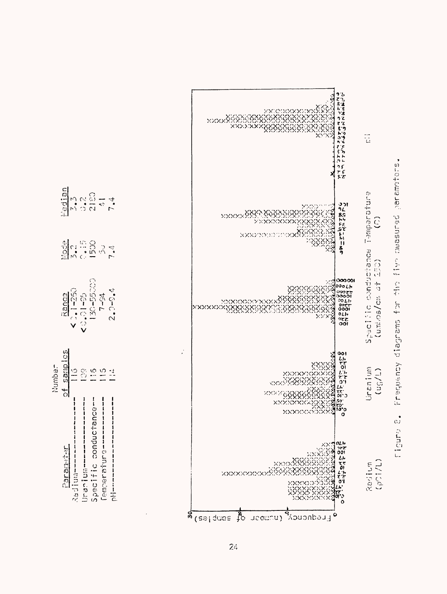

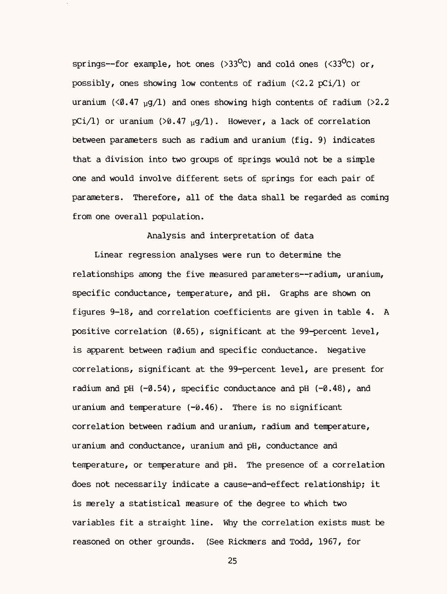springs-for example, hot ones (>33<sup>o</sup>C) and cold ones (<33<sup>o</sup>C) or, possibly, ones showing low contents of radium  $(\langle 2.2 \nabla \cdot \cdot \cdot \rangle)$  or uranium ( $\langle 0.47 \rangle$  yg/1) and ones showing high contents of radium ( $>2.2$ ) pCi/1) or uranium (>0.47  $_{\text{u}}$ g/1). However, a lack of correlation between parameters such as radium and uranium (fig. 9) indicates that a division into two groups of springs would not be a simple one and would involve different sets of springs for each pair of parameters. Therefore, all of the data shall be regarded as coming from one overall population.

Analysis and interpretation of data

Linear regression analyses were run to determine the relationships among the five measured parameters--radium, uranium, specific conductance, temperature, and pH. Graphs are shown on figures 9-18, and correlation coefficients are given in table 4. A positive correlation (0.65), significant at the 99-percent level, is apparent between radium and specific conductance. Negative correlations, significant at the 99-percent level, are present for radium and pH  $(-0.54)$ , specific conductance and pH  $(-0.48)$ , and uranium and temperature  $(-0.46)$ . There is no significant correlation between radium and uranium, radium and temperature, uranium and conductance, uranium and pH, conductance and temperature, or temperature and pH. The presence of a correlation does not necessarily indicate a cause-and-effect relationship; it is merely a statistical measure of the degree to which two variables fit a straight line. Why the correlation exists must be reasoned on other grounds. (See Rickmers and Todd, 1967, for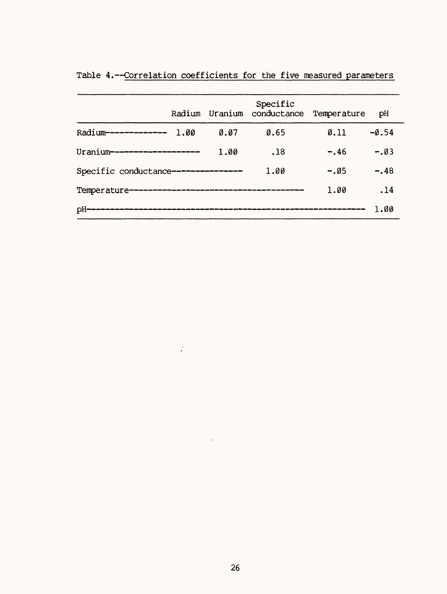|                                               | Radium |      | Specific<br>Uranium conductance Temperature |                  | рH      |
|-----------------------------------------------|--------|------|---------------------------------------------|------------------|---------|
| Radium-------------                           | 1.00   | 0.07 | 0.65                                        | $\emptyset$ . 11 | $-0.54$ |
| Uranium-------------------                    |        | 1.00 | .18                                         | $-.46$           | $-.03$  |
| Specific conductance---------------           |        |      | 1.00                                        | $-.05$           | $-.48$  |
| Temperature---------------------------------- |        |      |                                             | 1.00             | .14     |
| рH                                            |        |      |                                             |                  | 1.00    |

 $\sim 200$ 

Table 4.--Correlation coefficients for the five measured parameters

 $\mathcal{L}_{\text{max}}$  .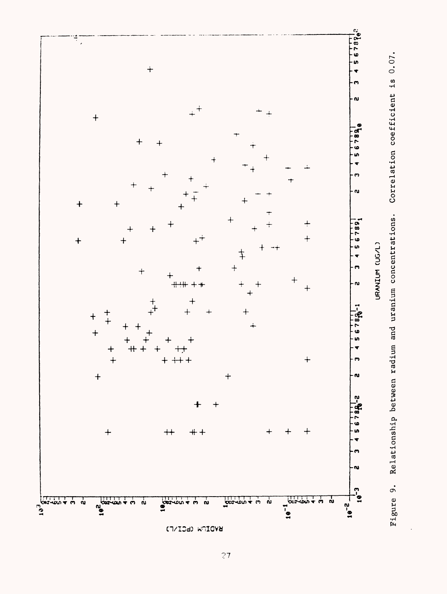

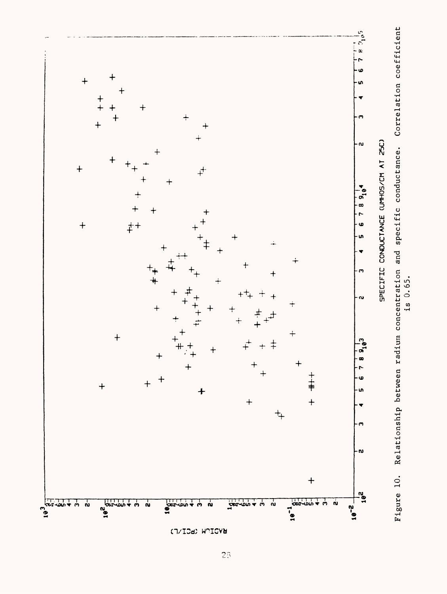

 $\overline{23}$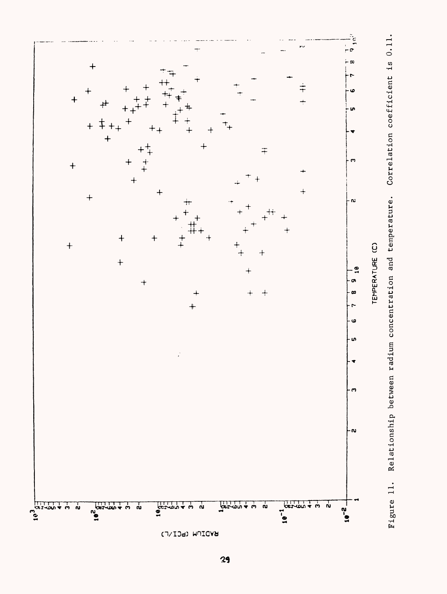

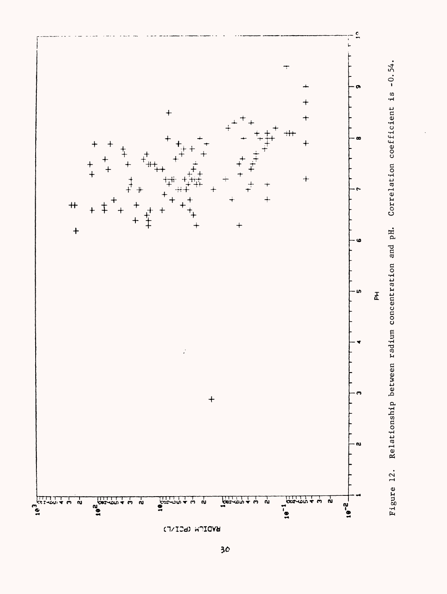

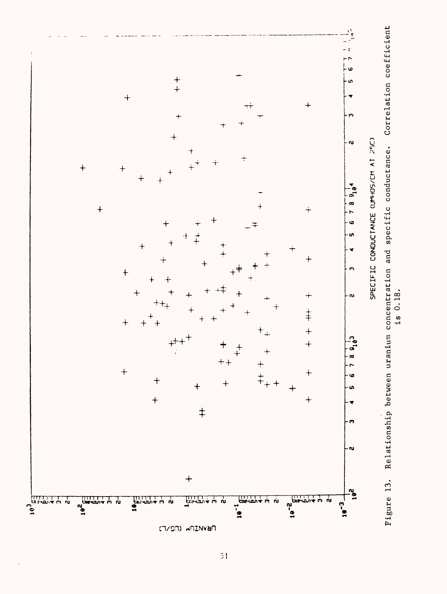

 $\frac{3}{2}$ 

is 0.18.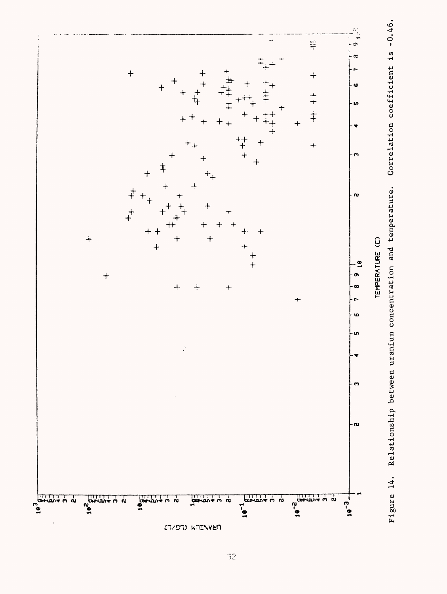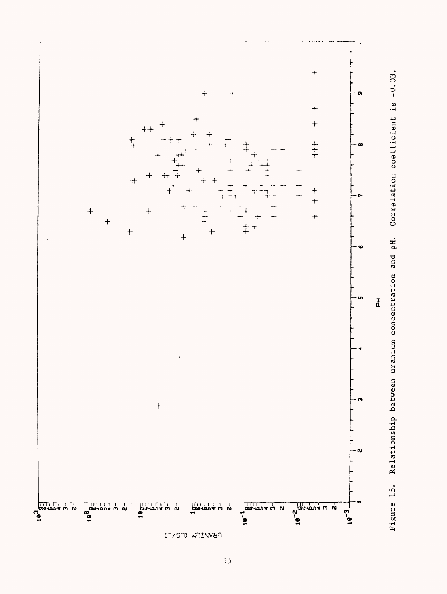

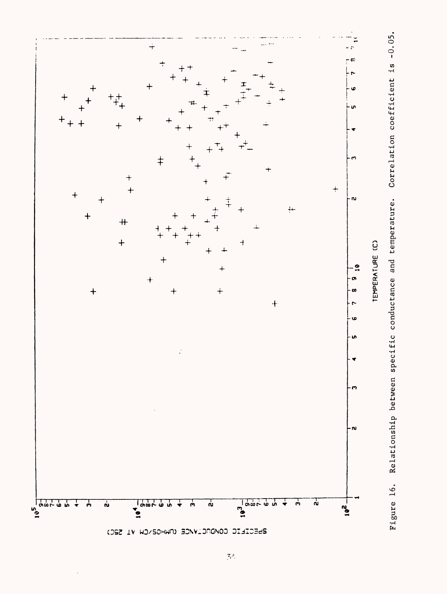

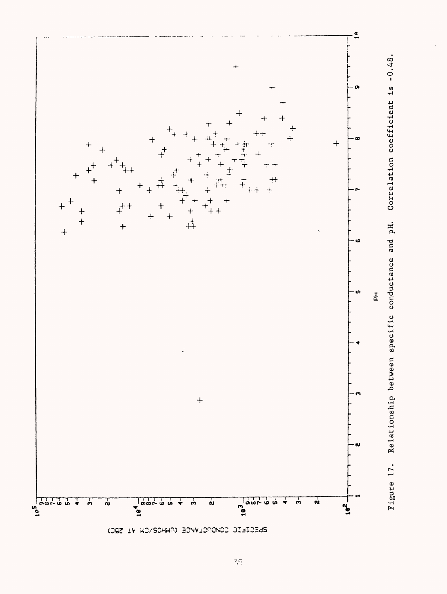

**DIECTEIC COMPIONALE (NHOS/CW VI SR**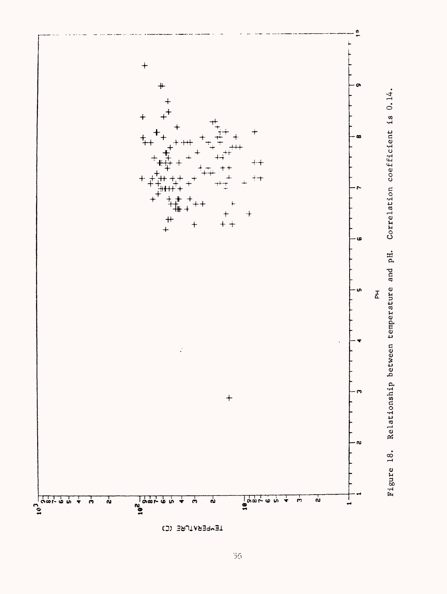

TEMPERATURE (C)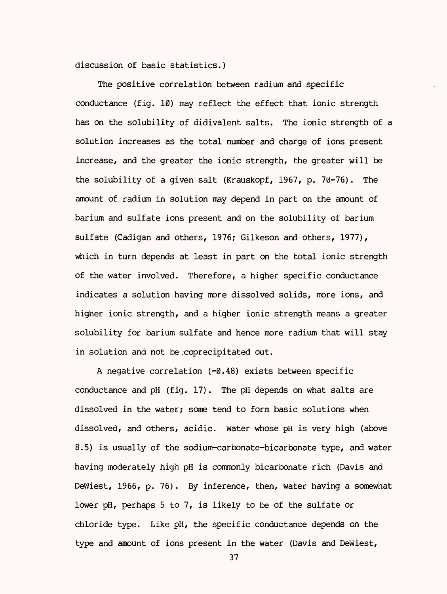discussion of basic statistics.)

The positive correlation between radium and specific conductance (fig. 10) may reflect the effect that ionic strength has on the solubility of didivalent salts. The ionic strength of a solution increases as the total number and charge of ions present increase, and the greater the ionic strength, the greater will be the solubility of a given salt (Krauskopf, 1967, p. 70-76). The amount of radium in solution may depend in part on the amount of barium and sulfate ions present and on the solubility of barium sulfate (Cadigan and others, 1976; Gilkeson and others, 1977), which in turn depends at least in part on the total ionic strength of the water involved. Therefore, a higher specific conductance indicates a solution having more dissolved solids, more ions, and higher ionic strength, and a higher ionic strength means a greater solubility for barium sulfate and hence more radium that will stay in solution and not be.coprecipitated out.

A negative correlation  $(-0.48)$  exists between specific conductance and pH (fig. 17). The pH depends on what salts are dissolved in the water; some tend to form basic solutions when dissolved, and others, acidic. Water whose pH is very high (above 8.5) is usually of the sodium-carbonate-bicarbonate type, and water having moderately high pH is commonly bicarbonate rich (Davis and Dewiest, 1966, p. 76). By inference, then, water having a somewhat lower pH, perhaps 5 to 7, is likely to be of the sulfate or chloride type. Like pH, the specific conductance depends on the type and amount of ions present in the water (Davis and Dewiest,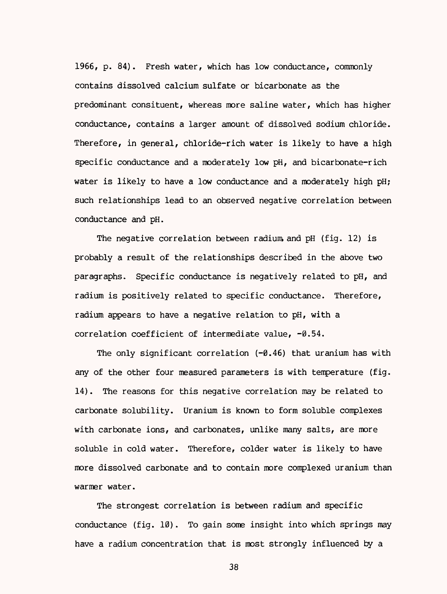1966, p. 84). Fresh water, which has low conductance, commonly contains dissolved calcium sulfate or bicarbonate as the predominant consituent, whereas more saline water, which has higher conductance, contains a larger amount of dissolved sodium chloride. Therefore, in general, chloride-rich water is likely to have a high specific conductance and a moderately low pH, and bicarbonate-rich water is likely to have a low conductance and a moderately high pH; such relationships lead to an observed negative correlation between conductance and pH.

The negative correlation between radium and pH (fig. 12) is probably a result of the relationships described in the above two paragraphs. Specific conductance is negatively related to pH, and radium is positively related to specific conductance. Therefore, radium appears to have a negative relation to pH, with a correlation coefficient of intermediate value,  $-0.54$ .

The only significant correlation  $(-0.46)$  that uranium has with any of the other four measured parameters is with temperature (fig. 14). The reasons for this negative correlation may be related to carbonate solubility. Uranium is known to form soluble complexes with carbonate ions, and carbonates, unlike many salts, are more soluble in cold water. Therefore, colder water is likely to have more dissolved carbonate and to contain more complexed uranium than warmer water.

The strongest correlation is between radium and specific conductance (fig. 10). To gain some insight into which springs may have a radium concentration that is most strongly influenced by a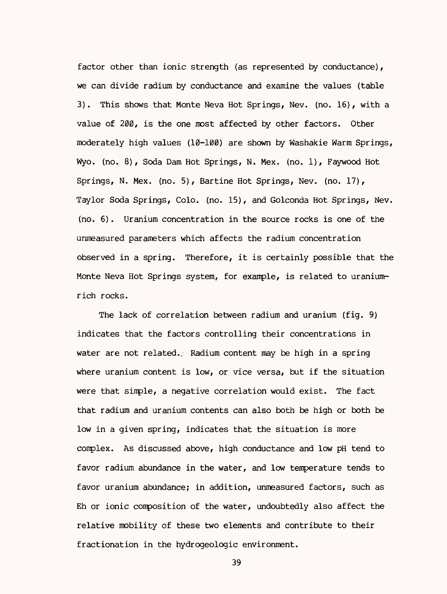factor other than ionic strength (as represented by conductance), we can divide radium by conductance and examine the values (table 3). This shows that Monte Neva Hot Springs, Nev. (no. 16), with a value of 200, is the one most affected by other factors. Other moderately high values (10-100) are shown by Washakie Warm Springs, Wyo. (no. 8), Soda Dam Hot Springs, N. Hex. (no. 1), Faywood Hot Springs, N. Hex. (no. 5), Bartine Hot Springs, Nev. (no. 17), Taylor Soda Springs, Colo. (no. 15), and Golconda Hot Springs, Nev. (no. 6). Uranium concentration in the source rocks is one of the unmeasured parameters which affects the radium concentration observed in a spring. Therefore, it is certainly possible that the Monte Neva Hot Springs system, for example, is related to uraniumrich rocks.

The lack of correlation between radium and uranium (fig. 9) indicates that the factors controlling their concentrations in water are not related. Radium content may be high in a spring where uranium content is low, or vice versa, but if the situation were that simple, a negative correlation would exist. The fact that radium and uranium contents can also both be high or both be low in a given spring, indicates that the situation is more complex. As discussed above, high conductance and low pH tend to favor radium abundance in the water, and low temperature tends to favor uranium abundance; in addition, unmeasured factors, such as Eh or ionic composition of the water, undoubtedly also affect the relative mobility of these two elements and contribute to their fractionation in the hydrogeologic environment.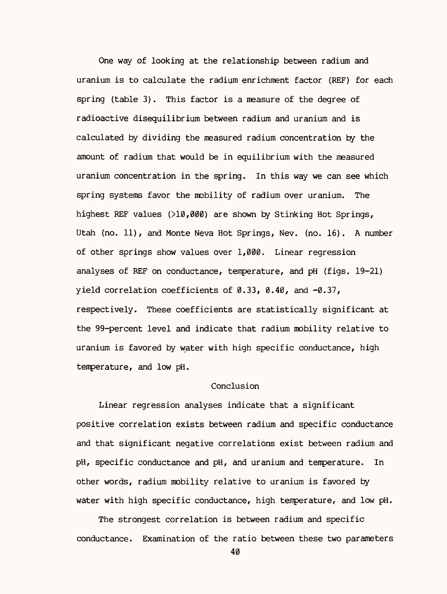One way of looking at the relationship between radium and uranium is to calculate the radium enrichment factor (REF) for each spring (table 3). This factor is a measure of the degree of radioactive disequilibrium between radium and uranium and is calculated by dividing the measured radium concentration by the amount of radium that would be in equilibrium with the measured uranium concentration in the spring. In this way we can see which spring systems favor the mobility of radium over uranium. The highest REF values (>10,000) are shown by Stinking Hot Springs, Utah (no. 11), and Monte Neva Hot Springs, Nev. (no. 16). A number of other springs show values over 1,000. Linear regression analyses of REF on conductance, temperature, and pH (figs. 19-21) yield correlation coefficients of  $\emptyset$ .33,  $\emptyset$ .40, and  $-\emptyset$ .37, respectively. These coefficients are statistically significant at the 99-percent level and indicate that radium mobility relative to uranium is favored by water with high specific conductance, high temperature, and low pH.

### Conclusion

Linear regression analyses indicate that a significant positive correlation exists between radium and specific conductance and that significant negative correlations exist between radium and pH, specific conductance and pH, and uranium and temperature. In other words, radium mobility relative to uranium is favored by water with high specific conductance, high temperature, and low pH.

The strongest correlation is between radium and specific conductance. Examination of the ratio between these two parameters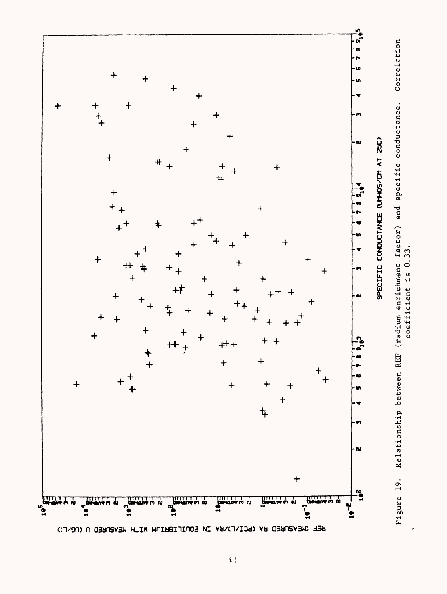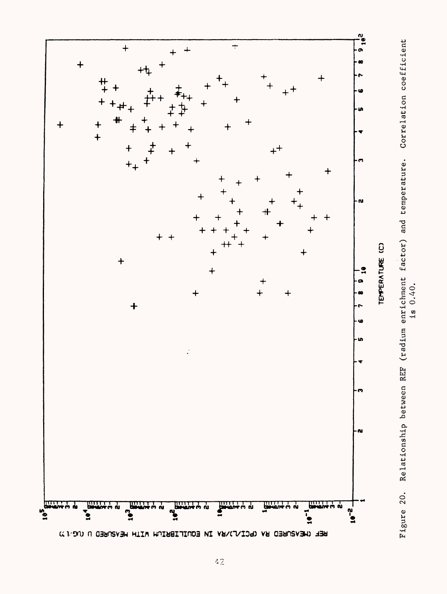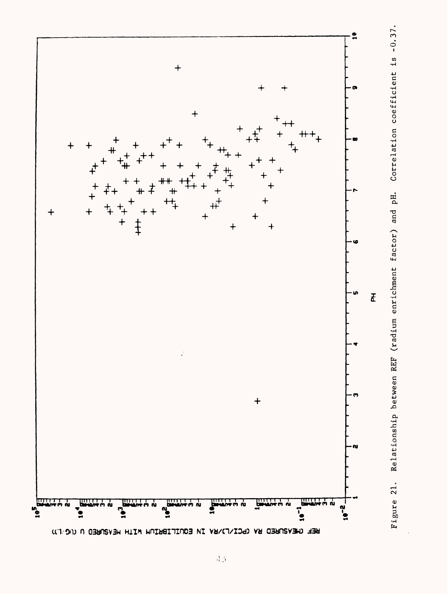

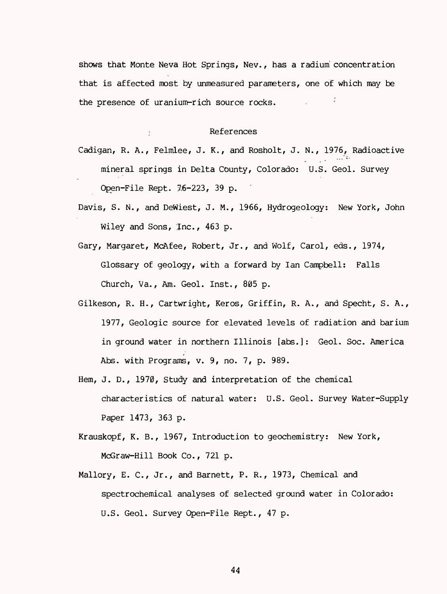shows that Monte Neva Hot Springs, Nev., has a radium concentration that is affected most by unmeasured parameters, one of which may be the presence of uranium-rich source rocks.

#### : References

Cadigan, R. A., Felmlee, J. K., and Rosholt, J. N., 1976, Radioactive mineral springs in Delta County, Colorado: U.S. Geol. Survey Open-File Rept. 7,6-223, 39 p. \*

- Davis, S. N., and Dewiest, J. M., 1966, Hydrogeology: New York, John Wiley and Sons, Inc., 463 p.
- Gary, Margaret, McAfee, Robert, Jr., and Wolf, Carol, eds., 1974, Glossary of geology, with a forward by lan Campbell: Falls Church, Va., Am. Geol. Inst., 805 p.
- Gilkeson, R. H., Cartwright, Keros, Griffin, R. A., and Specht, S. A., 1977, Geologic source for elevated levels of radiation and barium in ground water in northern Illinois [abs.]: Geol. Soc. America Abs. with Programs, v. 9, no. 7, p. 989.
- Hem, J. D., 1970, Study and interpretation of the chemical characteristics of natural water: U.S. Geol. Survey Water-Supply Paper 1473, 363 p.
- Krauskopf, K. B., 1967, Introduction to geochemistry: New York, McGraw-Hill Book Co., 721 p.
- Mallory, E. C., Jr., and Barnett, P. R., 1973, Chemical and spectrochemical analyses of selected ground water in Colorado: U.S. Geol. Survey Open-File Rept., 47 p.